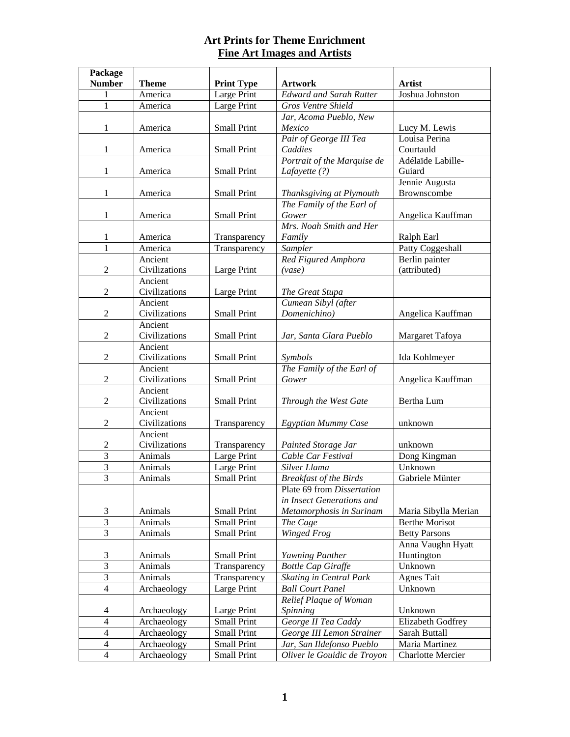| Package        |                          |                    |                                |                          |
|----------------|--------------------------|--------------------|--------------------------------|--------------------------|
| <b>Number</b>  | <b>Theme</b>             | <b>Print Type</b>  | <b>Artwork</b>                 | <b>Artist</b>            |
|                | America                  | Large Print        | <b>Edward and Sarah Rutter</b> | Joshua Johnston          |
| 1              | America                  | Large Print        | Gros Ventre Shield             |                          |
|                |                          |                    | Jar, Acoma Pueblo, New         |                          |
| 1              | America                  | <b>Small Print</b> | Mexico                         | Lucy M. Lewis            |
|                |                          |                    | Pair of George III Tea         | Louisa Perina            |
| $\mathbf{1}$   | America                  | <b>Small Print</b> | Caddies                        | Courtauld                |
|                |                          |                    | Portrait of the Marquise de    | Adélaïde Labille-        |
| $\mathbf{1}$   | America                  | Small Print        | Lafayette (?)                  | Guiard                   |
|                |                          |                    |                                | Jennie Augusta           |
| $\mathbf{1}$   | America                  | <b>Small Print</b> | Thanksgiving at Plymouth       | Brownscombe              |
|                |                          |                    | The Family of the Earl of      |                          |
| 1              | America                  | <b>Small Print</b> | Gower                          | Angelica Kauffman        |
|                |                          |                    | Mrs. Noah Smith and Her        |                          |
| 1              | America                  | Transparency       | Family                         | Ralph Earl               |
| $\mathbf{1}$   | America                  | Transparency       | Sampler                        | Patty Coggeshall         |
|                | Ancient                  |                    | Red Figured Amphora            | Berlin painter           |
| $\mathbf{2}$   | Civilizations            | Large Print        | (vase)                         | (attributed)             |
|                | Ancient                  |                    |                                |                          |
| $\overline{c}$ | Civilizations            | Large Print        | The Great Stupa                |                          |
|                | Ancient                  |                    | Cumean Sibyl (after            |                          |
| $\overline{2}$ | Civilizations            | <b>Small Print</b> | Domenichino)                   | Angelica Kauffman        |
|                | Ancient                  |                    |                                |                          |
| $\mathfrak{2}$ | Civilizations            | <b>Small Print</b> | Jar, Santa Clara Pueblo        | Margaret Tafoya          |
|                | Ancient                  |                    |                                |                          |
| $\mathfrak{2}$ | Civilizations            | <b>Small Print</b> | Symbols                        | Ida Kohlmeyer            |
|                | Ancient                  |                    | The Family of the Earl of      |                          |
| $\overline{2}$ | Civilizations            | <b>Small Print</b> | Gower                          | Angelica Kauffman        |
|                | Ancient                  |                    |                                |                          |
| $\overline{2}$ | Civilizations            | <b>Small Print</b> | Through the West Gate          | Bertha Lum               |
| $\mathbf{2}$   | Ancient<br>Civilizations | Transparency       | Egyptian Mummy Case            | unknown                  |
|                | Ancient                  |                    |                                |                          |
| $\overline{2}$ | Civilizations            | Transparency       | Painted Storage Jar            | unknown                  |
| 3              | Animals                  | Large Print        | Cable Car Festival             | Dong Kingman             |
| 3              | Animals                  | Large Print        | Silver Llama                   | Unknown                  |
| 3              | Animals                  | <b>Small Print</b> | <b>Breakfast of the Birds</b>  | Gabriele Münter          |
|                |                          |                    | Plate 69 from Dissertation     |                          |
|                |                          |                    | in Insect Generations and      |                          |
| $\mathfrak{Z}$ | Animals                  | <b>Small Print</b> | Metamorphosis in Surinam       | Maria Sibylla Merian     |
| $\overline{3}$ | Animals                  | <b>Small Print</b> | The Cage                       | <b>Berthe Morisot</b>    |
| 3              | Animals                  | <b>Small Print</b> | Winged Frog                    | <b>Betty Parsons</b>     |
|                |                          |                    |                                | Anna Vaughn Hyatt        |
| 3              | Animals                  | <b>Small Print</b> | Yawning Panther                | Huntington               |
| $\overline{3}$ | Animals                  | Transparency       | <b>Bottle Cap Giraffe</b>      | Unknown                  |
| 3              | Animals                  | Transparency       | Skating in Central Park        | <b>Agnes Tait</b>        |
| $\overline{4}$ | Archaeology              | Large Print        | <b>Ball Court Panel</b>        | Unknown                  |
|                |                          |                    | Relief Plaque of Woman         |                          |
| 4              | Archaeology              | Large Print        | Spinning                       | Unknown                  |
| $\overline{4}$ | Archaeology              | <b>Small Print</b> | George II Tea Caddy            | Elizabeth Godfrey        |
| $\overline{4}$ | Archaeology              | <b>Small Print</b> | George III Lemon Strainer      | Sarah Buttall            |
| $\overline{4}$ | Archaeology              | <b>Small Print</b> | Jar, San Ildefonso Pueblo      | Maria Martinez           |
| $\overline{4}$ | Archaeology              | <b>Small Print</b> | Oliver le Gouidic de Troyon    | <b>Charlotte Mercier</b> |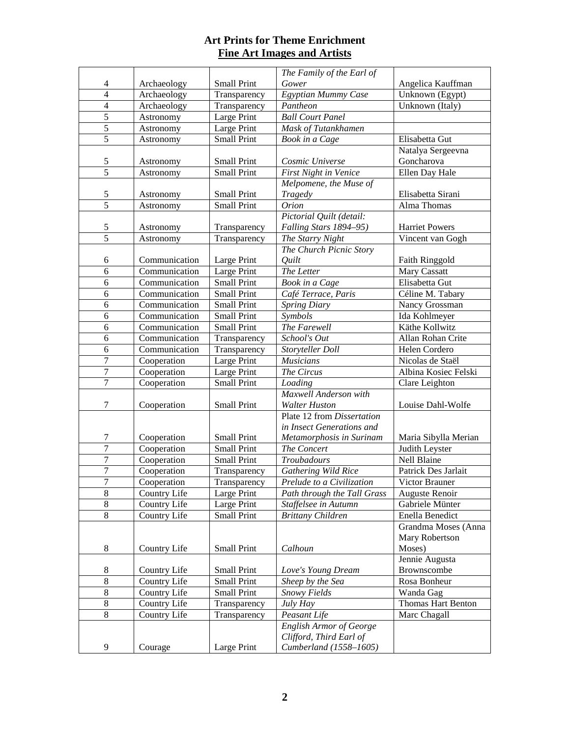|                          |                            |                                          | The Family of the Earl of               |                                        |
|--------------------------|----------------------------|------------------------------------------|-----------------------------------------|----------------------------------------|
| 4                        | Archaeology                | <b>Small Print</b>                       | Gower                                   | Angelica Kauffman                      |
| $\overline{4}$           | Archaeology                | Transparency                             | Egyptian Mummy Case                     | Unknown (Egypt)                        |
| $\overline{4}$           | Archaeology                | Transparency                             | Pantheon                                | Unknown (Italy)                        |
| $\overline{5}$           | Astronomy                  | Large Print                              | <b>Ball Court Panel</b>                 |                                        |
| $\overline{5}$           | Astronomy                  | Large Print                              | Mask of Tutankhamen                     |                                        |
| $\overline{5}$           | Astronomy                  | Small Print                              | Book in a Cage                          | Elisabetta Gut                         |
|                          |                            |                                          |                                         | Natalya Sergeevna                      |
| $\overline{5}$           | Astronomy                  | <b>Small Print</b>                       | Cosmic Universe                         | Goncharova                             |
| $\overline{5}$           | Astronomy                  | <b>Small Print</b>                       | <b>First Night in Venice</b>            | Ellen Day Hale                         |
|                          |                            |                                          | Melpomene, the Muse of                  |                                        |
| $\mathfrak s$            | Astronomy                  | <b>Small Print</b>                       | Tragedy                                 | Elisabetta Sirani                      |
| $\overline{5}$           | Astronomy                  | <b>Small Print</b>                       | <b>Orion</b>                            | Alma Thomas                            |
|                          |                            |                                          | Pictorial Quilt (detail:                |                                        |
| $\sqrt{5}$               | Astronomy                  | Transparency                             | Falling Stars 1894-95)                  | <b>Harriet Powers</b>                  |
| $\overline{5}$           | Astronomy                  | Transparency                             | The Starry Night                        | Vincent van Gogh                       |
|                          |                            |                                          | The Church Picnic Story                 |                                        |
| 6                        | Communication              | Large Print                              | Ouilt                                   | Faith Ringgold                         |
| $\overline{6}$           | Communication              | Large Print                              | The Letter                              | Mary Cassatt                           |
| 6                        | Communication              | <b>Small Print</b>                       | Book in a Cage                          | Elisabetta Gut                         |
| 6                        | Communication              | <b>Small Print</b>                       | Café Terrace, Paris                     | Céline M. Tabary                       |
| 6                        | Communication              | <b>Small Print</b>                       | <b>Spring Diary</b>                     | Nancy Grossman                         |
| 6                        | Communication              | <b>Small Print</b>                       | Symbols                                 | Ida Kohlmeyer                          |
| 6                        | Communication              | <b>Small Print</b>                       | The Farewell                            | Käthe Kollwitz                         |
| 6                        | Communication              | Transparency                             | School's Out                            | Allan Rohan Crite                      |
| 6                        | Communication              | Transparency                             | Storyteller Doll                        | Helen Cordero                          |
| $\overline{7}$           | Cooperation                | Large Print                              | <b>Musicians</b>                        | Nicolas de Staël                       |
| $\overline{7}$           | Cooperation                | Large Print                              | The Circus                              | Albina Kosiec Felski                   |
| $\overline{7}$           | Cooperation                | <b>Small Print</b>                       | Loading                                 | Clare Leighton                         |
|                          |                            |                                          | Maxwell Anderson with                   |                                        |
| 7                        | Cooperation                | <b>Small Print</b>                       | <b>Walter Huston</b>                    | Louise Dahl-Wolfe                      |
|                          |                            |                                          | Plate 12 from Dissertation              |                                        |
|                          |                            |                                          | in Insect Generations and               |                                        |
| $\tau$<br>$\overline{7}$ | Cooperation<br>Cooperation | <b>Small Print</b><br><b>Small Print</b> | Metamorphosis in Surinam<br>The Concert | Maria Sibylla Merian<br>Judith Leyster |
| 7                        | Cooperation                | <b>Small Print</b>                       | Troubadours                             | Nell Blaine                            |
| $\overline{7}$           | Cooperation                | Transparency                             | Gathering Wild Rice                     | Patrick Des Jarlait                    |
| $\overline{7}$           | Cooperation                | Transparency                             | Prelude to a Civilization               | Victor Brauner                         |
| $\,8\,$                  | Country Life               | Large Print                              | Path through the Tall Grass             | Auguste Renoir                         |
| 8                        | Country Life               | Large Print                              | Staffelsee in Autumn                    | Gabriele Münter                        |
| $\overline{8}$           | Country Life               | Small Print                              | <b>Brittany Children</b>                | Enella Benedict                        |
|                          |                            |                                          |                                         | Grandma Moses (Anna                    |
|                          |                            |                                          |                                         | Mary Robertson                         |
| 8                        | Country Life               | Small Print                              | Calhoun                                 | Moses)                                 |
|                          |                            |                                          |                                         | Jennie Augusta                         |
| 8                        | Country Life               | Small Print                              | Love's Young Dream                      | Brownscombe                            |
| $\,8\,$                  | Country Life               | Small Print                              | Sheep by the Sea                        | Rosa Bonheur                           |
| $\,8\,$                  | Country Life               | Small Print                              | Snowy Fields                            | Wanda Gag                              |
| $\,8\,$                  | Country Life               | Transparency                             | July Hay                                | Thomas Hart Benton                     |
| $8\,$                    | Country Life               | Transparency                             | Peasant Life                            | Marc Chagall                           |
|                          |                            |                                          | <b>English Armor of George</b>          |                                        |
|                          |                            |                                          | Clifford, Third Earl of                 |                                        |
| 9                        | Courage                    | Large Print                              | Cumberland (1558-1605)                  |                                        |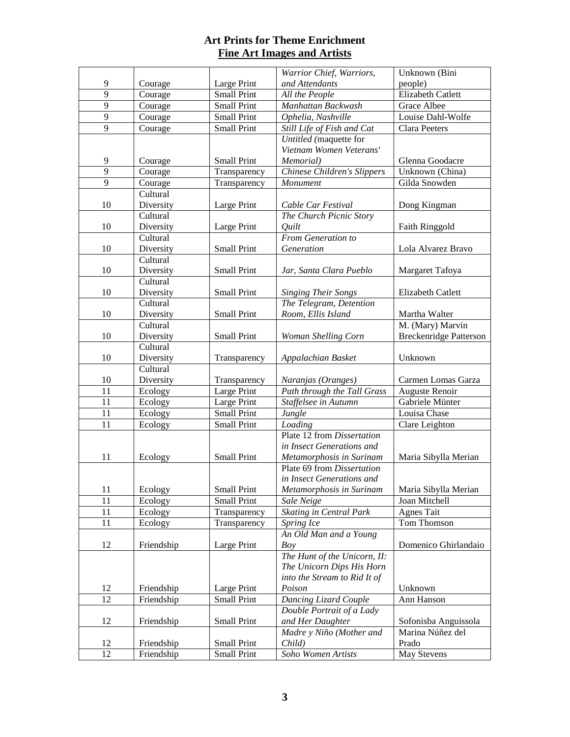| Warrior Chief, Warriors,<br>9<br>and Attendants<br>Large Print<br>people)<br>Courage           |                               |
|------------------------------------------------------------------------------------------------|-------------------------------|
|                                                                                                |                               |
| $\overline{9}$<br><b>Small Print</b><br>Courage<br>All the People                              | Elizabeth Catlett             |
| $\overline{9}$<br><b>Small Print</b><br>Manhattan Backwash<br>Courage<br>Grace Albee           |                               |
| $\overline{9}$<br>Small Print<br>Courage<br>Ophelia, Nashville                                 | Louise Dahl-Wolfe             |
| $\overline{9}$<br>Small Print<br>Still Life of Fish and Cat<br><b>Clara Peeters</b><br>Courage |                               |
| Untitled (maquette for                                                                         |                               |
| Vietnam Women Veterans'                                                                        |                               |
| 9<br>Courage<br><b>Small Print</b><br>Memorial)                                                | Glenna Goodacre               |
| 9<br>Chinese Children's Slippers<br>Courage<br>Transparency                                    | Unknown (China)               |
| 9<br>Courage<br>Transparency<br>Monument                                                       | Gilda Snowden                 |
| Cultural                                                                                       |                               |
| 10<br>Diversity<br>Large Print<br>Cable Car Festival                                           | Dong Kingman                  |
| Cultural<br>The Church Picnic Story                                                            |                               |
| 10<br>Large Print<br>Diversity<br><i><u>Ouilt</u></i>                                          | Faith Ringgold                |
| From Generation to<br>Cultural                                                                 |                               |
| 10<br><b>Small Print</b><br>Diversity<br>Generation                                            | Lola Alvarez Bravo            |
| Cultural                                                                                       |                               |
| Diversity<br>10<br><b>Small Print</b><br>Jar, Santa Clara Pueblo                               | Margaret Tafoya               |
| Cultural                                                                                       |                               |
| Diversity<br><b>Small Print</b><br>10<br><b>Singing Their Songs</b>                            | Elizabeth Catlett             |
| Cultural<br>The Telegram, Detention                                                            |                               |
| 10<br>Diversity<br><b>Small Print</b><br>Room, Ellis Island                                    | Martha Walter                 |
| Cultural                                                                                       | M. (Mary) Marvin              |
| Diversity<br><b>Small Print</b><br>10<br>Woman Shelling Corn                                   | <b>Breckenridge Patterson</b> |
| Cultural                                                                                       |                               |
| Diversity<br>10<br>Unknown<br>Transparency<br>Appalachian Basket                               |                               |
| Cultural                                                                                       |                               |
| 10<br>Diversity<br>Transparency<br>Naranjas (Oranges)                                          | Carmen Lomas Garza            |
| $\overline{11}$<br>Large Print<br>Path through the Tall Grass<br>Ecology                       | Auguste Renoir                |
| 11<br>Ecology<br>Large Print<br>Staffelsee in Autumn                                           | Gabriele Münter               |
| 11<br>Ecology<br><b>Small Print</b><br>Jungle<br>Louisa Chase                                  |                               |
| 11<br>Ecology<br>Small Print<br>Loading                                                        | Clare Leighton                |
| Plate 12 from Dissertation                                                                     |                               |
| in Insect Generations and                                                                      |                               |
| 11<br>Metamorphosis in Surinam<br>Ecology<br>Small Print<br>Plate 69 from Dissertation         | Maria Sibylla Merian          |
| in Insect Generations and                                                                      |                               |
| 11<br>Ecology<br>Small Print<br>Metamorphosis in Surinam                                       | Maria Sibylla Merian          |
| 11<br>Ecology<br>Small Print<br>Sale Neige<br>Joan Mitchell                                    |                               |
| 11<br>Skating in Central Park<br>Ecology<br><b>Agnes Tait</b><br>Transparency                  |                               |
| 11<br>Ecology<br>Spring Ice<br>Transparency                                                    | Tom Thomson                   |
| An Old Man and a Young                                                                         |                               |
| 12<br>Large Print<br>Boy<br>Friendship                                                         | Domenico Ghirlandaio          |
| The Hunt of the Unicorn, II:                                                                   |                               |
| The Unicorn Dips His Horn                                                                      |                               |
| into the Stream to Rid It of                                                                   |                               |
| Large Print<br>Poison<br>12<br>Friendship<br>Unknown                                           |                               |
| Dancing Lizard Couple<br>12<br>Friendship<br>Ann Hanson<br>Small Print                         |                               |
| Double Portrait of a Lady                                                                      |                               |
| 12<br><b>Small Print</b><br>Friendship<br>and Her Daughter                                     | Sofonisba Anguissola          |
| Madre y Niño (Mother and                                                                       | Marina Núñez del              |
| Prado<br>Friendship<br>Small Print<br>Child)<br>12                                             |                               |
| 12<br>Soho Women Artists<br>Friendship<br><b>Small Print</b><br><b>May Stevens</b>             |                               |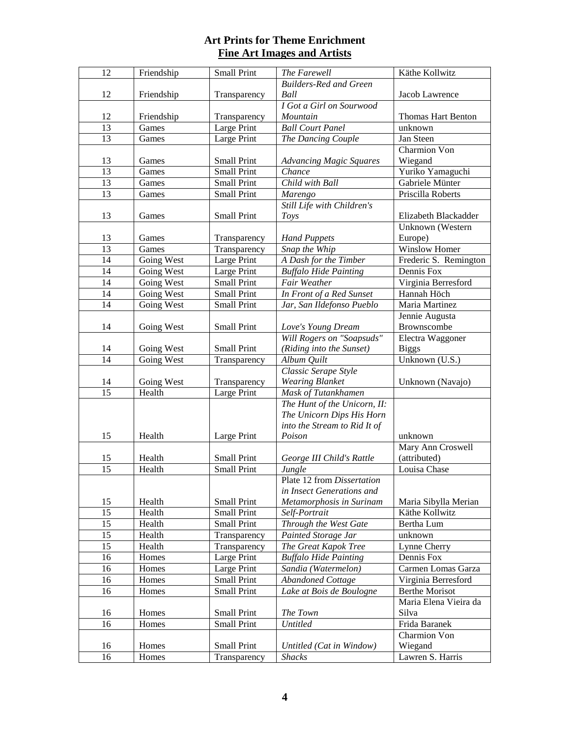| $\overline{12}$ | Friendship | <b>Small Print</b> | The Farewell                     | Käthe Kollwitz        |
|-----------------|------------|--------------------|----------------------------------|-----------------------|
|                 |            |                    | Builders-Red and Green           |                       |
| 12              | Friendship | Transparency       | Ball                             | Jacob Lawrence        |
|                 |            |                    | I Got a Girl on Sourwood         |                       |
| 12              | Friendship | Transparency       | Mountain                         | Thomas Hart Benton    |
| 13              | Games      | <b>Large Print</b> | <b>Ball Court Panel</b>          | unknown               |
| 13              | Games      | Large Print        | The Dancing Couple               | Jan Steen             |
|                 |            |                    |                                  | <b>Charmion Von</b>   |
| 13              | Games      | <b>Small Print</b> | <b>Advancing Magic Squares</b>   | Wiegand               |
| 13              | Games      | <b>Small Print</b> | Chance                           | Yuriko Yamaguchi      |
| 13              | Games      | <b>Small Print</b> | Child with Ball                  | Gabriele Münter       |
| 13              | Games      | <b>Small Print</b> | Marengo                          | Priscilla Roberts     |
|                 |            |                    | Still Life with Children's       |                       |
| 13              | Games      | <b>Small Print</b> | Toys                             | Elizabeth Blackadder  |
|                 |            |                    |                                  | Unknown (Western      |
| 13              | Games      | Transparency       | <b>Hand Puppets</b>              | Europe)               |
| 13              | Games      | Transparency       | Snap the Whip                    | Winslow Homer         |
| 14              | Going West | Large Print        | A Dash for the Timber            | Frederic S. Remington |
| 14              | Going West | Large Print        | <b>Buffalo Hide Painting</b>     | Dennis Fox            |
| 14              | Going West | <b>Small Print</b> | Fair Weather                     | Virginia Berresford   |
| 14              | Going West | <b>Small Print</b> | In Front of a Red Sunset         | Hannah Höch           |
| 14              | Going West | <b>Small Print</b> | Jar, San Ildefonso Pueblo        | Maria Martinez        |
|                 |            |                    |                                  | Jennie Augusta        |
| 14              | Going West | Small Print        | Love's Young Dream               | Brownscombe           |
|                 |            |                    | <b>Will Rogers on "Soapsuds"</b> | Electra Waggoner      |
| 14              | Going West | Small Print        | (Riding into the Sunset)         | <b>Biggs</b>          |
| 14              | Going West | Transparency       | Album Quilt                      | Unknown (U.S.)        |
|                 |            |                    | Classic Serape Style             |                       |
| 14              | Going West | Transparency       | <b>Wearing Blanket</b>           | Unknown (Navajo)      |
| $\overline{15}$ | Health     | Large Print        | Mask of Tutankhamen              |                       |
|                 |            |                    | The Hunt of the Unicorn, II:     |                       |
|                 |            |                    | The Unicorn Dips His Horn        |                       |
|                 |            |                    | into the Stream to Rid It of     |                       |
| 15              | Health     | Large Print        | Poison                           | unknown               |
|                 |            |                    |                                  | Mary Ann Croswell     |
| 15              | Health     | <b>Small Print</b> | George III Child's Rattle        | (attributed)          |
| 15              | Health     | <b>Small Print</b> | Jungle                           | Louisa Chase          |
|                 |            |                    | Plate 12 from Dissertation       |                       |
|                 |            |                    | in Insect Generations and        |                       |
| 15              | Health     | <b>Small Print</b> | Metamorphosis in Surinam         | Maria Sibylla Merian  |
| $\overline{15}$ | Health     | Small Print        | Self-Portrait                    | Käthe Kollwitz        |
| 15              | Health     | <b>Small Print</b> | <b>Through the West Gate</b>     | Bertha Lum            |
| 15              | Health     | Transparency       | <b>Painted Storage Jar</b>       | unknown               |
| 15              | Health     | Transparency       | The Great Kapok Tree             | Lynne Cherry          |
| 16              | Homes      | Large Print        | <b>Buffalo Hide Painting</b>     | Dennis Fox            |
| 16              | Homes      | Large Print        | Sandia (Watermelon)              | Carmen Lomas Garza    |
| 16              | Homes      | <b>Small Print</b> | Abandoned Cottage                | Virginia Berresford   |
| 16              | Homes      | <b>Small Print</b> | Lake at Bois de Boulogne         | <b>Berthe Morisot</b> |
|                 |            |                    |                                  | Maria Elena Vieira da |
| 16              | Homes      | <b>Small Print</b> | The Town                         | Silva                 |
| 16              | Homes      | <b>Small Print</b> | <b>Untitled</b>                  | Frida Baranek         |
|                 |            |                    |                                  | Charmion Von          |
| 16              | Homes      | <b>Small Print</b> | Untitled (Cat in Window)         | Wiegand               |
| 16              | Homes      | Transparency       | <b>Shacks</b>                    | Lawren S. Harris      |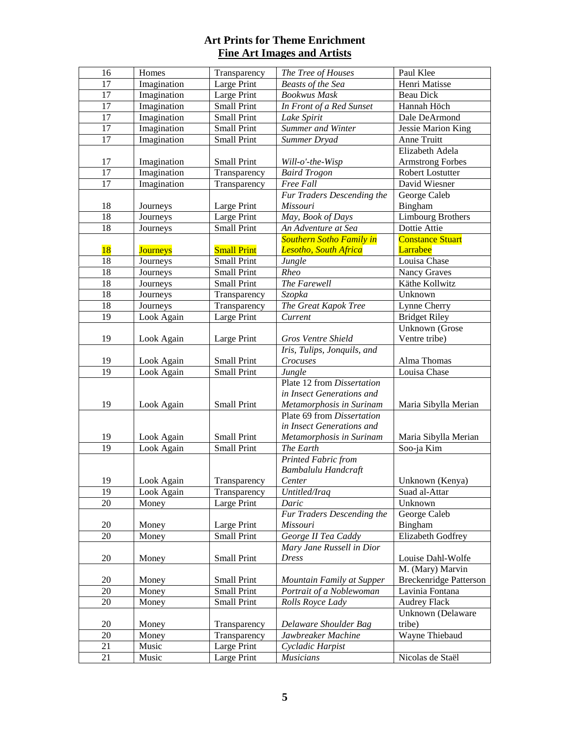| 16              | Homes           | Transparency       | The Tree of Houses              | Paul Klee                                         |
|-----------------|-----------------|--------------------|---------------------------------|---------------------------------------------------|
| 17              | Imagination     | Large Print        | <b>Beasts of the Sea</b>        | Henri Matisse                                     |
| 17              | Imagination     | Large Print        | <b>Bookwus</b> Mask             | <b>Beau Dick</b>                                  |
| 17              | Imagination     | <b>Small Print</b> | In Front of a Red Sunset        | Hannah Höch                                       |
| $\overline{17}$ | Imagination     | <b>Small Print</b> | Lake Spirit                     | Dale DeArmond                                     |
| $\overline{17}$ | Imagination     | <b>Small Print</b> | Summer and Winter               | <b>Jessie Marion King</b>                         |
| 17              | Imagination     | <b>Small Print</b> | Summer Dryad                    | Anne Truitt                                       |
|                 |                 |                    |                                 | Elizabeth Adela                                   |
| 17              | Imagination     | <b>Small Print</b> | Will-o'-the-Wisp                | <b>Armstrong Forbes</b>                           |
| 17              | Imagination     | Transparency       | <b>Baird Trogon</b>             | <b>Robert Lostutter</b>                           |
| 17              | Imagination     | Transparency       | Free Fall                       | David Wiesner                                     |
|                 |                 |                    | Fur Traders Descending the      | George Caleb                                      |
| 18              | Journeys        | Large Print        | Missouri                        | Bingham                                           |
| 18              | Journeys        | Large Print        | May, Book of Days               | <b>Limbourg Brothers</b>                          |
| 18              | Journeys        | <b>Small Print</b> | An Adventure at Sea             | Dottie Attie                                      |
|                 |                 |                    | <b>Southern Sotho Family in</b> | <b>Constance Stuart</b>                           |
| 18              | <b>Journeys</b> | <b>Small Print</b> | Lesotho, South Africa           | Larrabee                                          |
| 18              | Journeys        | <b>Small Print</b> | Jungle                          | Louisa Chase                                      |
| 18              | Journeys        | <b>Small Print</b> | Rheo                            | Nancy Graves                                      |
| 18              | Journeys        | <b>Small Print</b> | The Farewell                    | Käthe Kollwitz                                    |
| 18              | Journeys        | Transparency       | Szopka                          | Unknown                                           |
| 18              | Journeys        | Transparency       | The Great Kapok Tree            | Lynne Cherry                                      |
| 19              | Look Again      | Large Print        | Current                         | <b>Bridget Riley</b>                              |
|                 |                 |                    |                                 | <b>Unknown</b> (Grose                             |
| 19              | Look Again      | Large Print        | Gros Ventre Shield              | Ventre tribe)                                     |
|                 |                 |                    | Iris, Tulips, Jonquils, and     |                                                   |
| 19              | Look Again      | <b>Small Print</b> | Crocuses                        | Alma Thomas                                       |
| 19              | Look Again      | <b>Small Print</b> | Jungle                          | Louisa Chase                                      |
|                 |                 |                    | Plate 12 from Dissertation      |                                                   |
|                 |                 |                    | in Insect Generations and       |                                                   |
| 19              | Look Again      | Small Print        | Metamorphosis in Surinam        | Maria Sibylla Merian                              |
|                 |                 |                    | Plate 69 from Dissertation      |                                                   |
|                 |                 |                    | in Insect Generations and       |                                                   |
| 19              | Look Again      | <b>Small Print</b> | Metamorphosis in Surinam        | Maria Sibylla Merian                              |
| 19              | Look Again      | <b>Small Print</b> | The Earth                       | Soo-ja Kim                                        |
|                 |                 |                    | Printed Fabric from             |                                                   |
|                 |                 |                    | Bambalulu Handcraft             |                                                   |
| 19              | Look Again      | Transparency       | Center                          | Unknown (Kenya)                                   |
| 19              | Look Again      | Transparency       | Untitled/Iraq                   | Suad al-Attar                                     |
| 20              | Money           | Large Print        | Daric                           | Unknown                                           |
|                 |                 |                    | Fur Traders Descending the      | George Caleb                                      |
| 20              | Money           | Large Print        | Missouri                        | Bingham                                           |
| 20              | Money           | <b>Small Print</b> | George II Tea Caddy             | Elizabeth Godfrey                                 |
|                 |                 |                    | Mary Jane Russell in Dior       |                                                   |
| 20              | Money           | <b>Small Print</b> | <b>Dress</b>                    | Louise Dahl-Wolfe                                 |
| 20              | Money           | <b>Small Print</b> | Mountain Family at Supper       | M. (Mary) Marvin<br><b>Breckenridge Patterson</b> |
| 20              | Money           | <b>Small Print</b> | Portrait of a Noblewoman        | Lavinia Fontana                                   |
| 20              | Money           | <b>Small Print</b> | Rolls Royce Lady                | <b>Audrey Flack</b>                               |
|                 |                 |                    |                                 | Unknown (Delaware                                 |
| 20              | Money           | Transparency       | Delaware Shoulder Bag           | tribe)                                            |
| 20              | Money           | Transparency       | Jawbreaker Machine              | Wayne Thiebaud                                    |
| 21              |                 | Large Print        | Cycladic Harpist                |                                                   |
|                 |                 |                    |                                 |                                                   |
| 21              | Music<br>Music  | Large Print        | <b>Musicians</b>                | Nicolas de Staël                                  |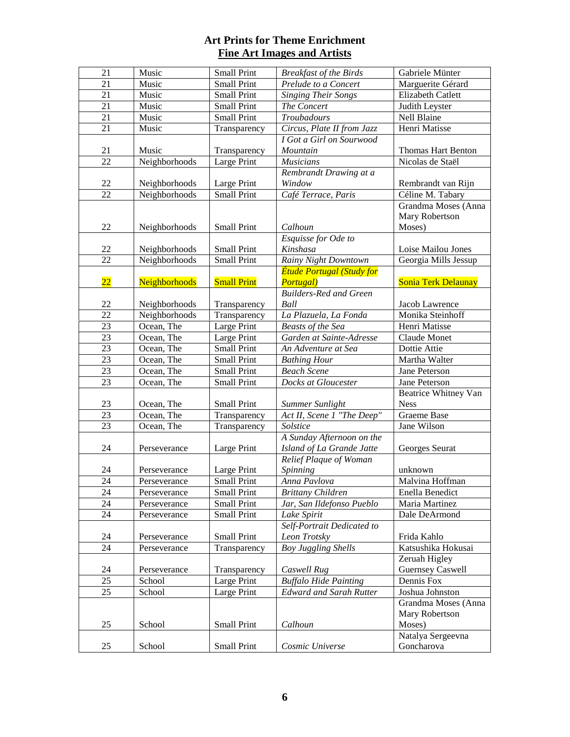| 21              | Music         | <b>Small Print</b> | <b>Breakfast of the Birds</b>    | Gabriele Münter          |
|-----------------|---------------|--------------------|----------------------------------|--------------------------|
| 21              | Music         | <b>Small Print</b> | Prelude to a Concert             | Marguerite Gérard        |
| 21              | Music         | <b>Small Print</b> | <b>Singing Their Songs</b>       | Elizabeth Catlett        |
| 21              | Music         | <b>Small Print</b> | The Concert                      | Judith Leyster           |
| 21              | Music         | <b>Small Print</b> | <b>Troubadours</b>               | Nell Blaine              |
|                 |               |                    |                                  | Henri Matisse            |
| 21              | Music         | Transparency       | Circus, Plate II from Jazz       |                          |
|                 |               |                    | I Got a Girl on Sourwood         |                          |
| 21              | Music         | Transparency       | Mountain                         | Thomas Hart Benton       |
| 22              | Neighborhoods | Large Print        | <b>Musicians</b>                 | Nicolas de Staël         |
|                 |               |                    | Rembrandt Drawing at a           |                          |
| 22              | Neighborhoods | Large Print        | Window                           | Rembrandt van Rijn       |
| 22              | Neighborhoods | <b>Small Print</b> | Café Terrace, Paris              | Céline M. Tabary         |
|                 |               |                    |                                  | Grandma Moses (Anna      |
|                 |               |                    |                                  | Mary Robertson           |
| 22              | Neighborhoods | <b>Small Print</b> | Calhoun                          | Moses)                   |
|                 |               |                    | Esquisse for Ode to              |                          |
| 22              | Neighborhoods | <b>Small Print</b> | Kinshasa                         | Loise Mailou Jones       |
| 22              | Neighborhoods | <b>Small Print</b> | <b>Rainy Night Downtown</b>      | Georgia Mills Jessup     |
|                 |               |                    | <b>Étude Portugal (Study for</b> |                          |
| $\overline{22}$ | Neighborhoods | <b>Small Print</b> | Portugal)                        | Sonia Terk Delaunay      |
|                 |               |                    | <b>Builders-Red and Green</b>    |                          |
| 22              | Neighborhoods | Transparency       | Ball                             | Jacob Lawrence           |
| 22              | Neighborhoods | Transparency       | La Plazuela, La Fonda            | Monika Steinhoff         |
| 23              | Ocean, The    | Large Print        | <b>Beasts of the Sea</b>         | Henri Matisse            |
| 23              | Ocean, The    | Large Print        | Garden at Sainte-Adresse         | Claude Monet             |
| 23              | Ocean, The    | <b>Small Print</b> | An Adventure at Sea              | Dottie Attie             |
| 23              |               |                    |                                  |                          |
|                 | Ocean, The    | <b>Small Print</b> | <b>Bathing Hour</b>              | Martha Walter            |
| 23              | Ocean, The    | <b>Small Print</b> | <b>Beach Scene</b>               | Jane Peterson            |
| 23              | Ocean, The    | <b>Small Print</b> | Docks at Gloucester              | Jane Peterson            |
|                 |               |                    |                                  | Beatrice Whitney Van     |
| 23              | Ocean, The    | <b>Small Print</b> | Summer Sunlight                  | <b>Ness</b>              |
| $\overline{23}$ | Ocean, The    | Transparency       | Act II, Scene 1 "The Deep"       | <b>Graeme Base</b>       |
| 23              | Ocean, The    | Transparency       | Solstice                         | Jane Wilson              |
|                 |               |                    | A Sunday Afternoon on the        |                          |
| 24              | Perseverance  | Large Print        | Island of La Grande Jatte        | Georges Seurat           |
|                 |               |                    | Relief Plaque of Woman           |                          |
| 24              | Perseverance  | Large Print        | Spinning                         | unknown                  |
| 24              | Perseverance  | <b>Small Print</b> | Anna Pavlova                     | Malvina Hoffman          |
| 24              | Perseverance  | Small Print        | <b>Brittany Children</b>         | Enella Benedict          |
| 24              | Perseverance  | <b>Small Print</b> | Jar, San Ildefonso Pueblo        | Maria Martinez           |
| 24              | Perseverance  | <b>Small Print</b> | Lake Spirit                      | Dale DeArmond            |
|                 |               |                    | Self-Portrait Dedicated to       |                          |
| 24              | Perseverance  | <b>Small Print</b> | Leon Trotsky                     | Frida Kahlo              |
| 24              | Perseverance  | Transparency       | Boy Juggling Shells              | Katsushika Hokusai       |
|                 |               |                    |                                  | Zeruah Higley            |
| 24              | Perseverance  | Transparency       | Caswell Rug                      | <b>Guernsey Caswell</b>  |
| 25              | School        | Large Print        | <b>Buffalo Hide Painting</b>     | Dennis Fox               |
| 25              | School        | Large Print        | <b>Edward and Sarah Rutter</b>   | Joshua Johnston          |
|                 |               |                    |                                  | Grandma Moses (Anna      |
|                 |               |                    |                                  |                          |
|                 |               |                    |                                  | Mary Robertson<br>Moses) |
| 25              | School        | <b>Small Print</b> | Calhoun                          |                          |
|                 |               |                    |                                  | Natalya Sergeevna        |
| 25              | School        | <b>Small Print</b> | Cosmic Universe                  | Goncharova               |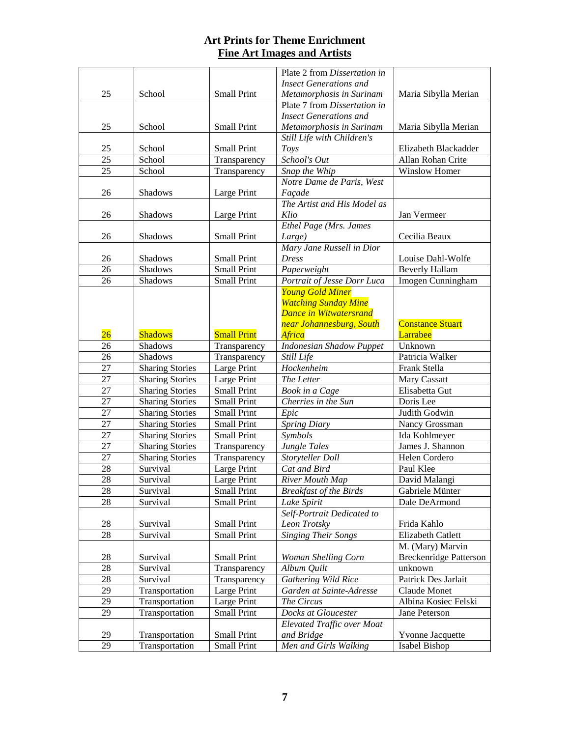|                 |                        |                    | Plate 2 from Dissertation in      |                               |
|-----------------|------------------------|--------------------|-----------------------------------|-------------------------------|
|                 |                        |                    | <b>Insect Generations and</b>     |                               |
| 25              | School                 | <b>Small Print</b> | Metamorphosis in Surinam          | Maria Sibylla Merian          |
|                 |                        |                    | Plate 7 from Dissertation in      |                               |
|                 |                        |                    | <b>Insect Generations and</b>     |                               |
| 25              | School                 | <b>Small Print</b> | Metamorphosis in Surinam          | Maria Sibylla Merian          |
|                 |                        |                    | Still Life with Children's        |                               |
| 25              | School                 | <b>Small Print</b> | Toys                              | Elizabeth Blackadder          |
| 25              | School                 | Transparency       | School's Out                      | Allan Rohan Crite             |
| 25              | School                 | Transparency       | Snap the Whip                     | <b>Winslow Homer</b>          |
|                 |                        |                    | Notre Dame de Paris, West         |                               |
| 26              | Shadows                | Large Print        | Façade                            |                               |
|                 |                        |                    | The Artist and His Model as       |                               |
| 26              | Shadows                | Large Print        | Klio                              | Jan Vermeer                   |
|                 |                        |                    | Ethel Page (Mrs. James            |                               |
| 26              | Shadows                | <b>Small Print</b> | Large)                            | Cecilia Beaux                 |
|                 |                        |                    | Mary Jane Russell in Dior         |                               |
| 26              | Shadows                | <b>Small Print</b> | <b>Dress</b>                      | Louise Dahl-Wolfe             |
| 26              | Shadows                | <b>Small Print</b> | Paperweight                       | <b>Beverly Hallam</b>         |
| 26              | Shadows                | <b>Small Print</b> | Portrait of Jesse Dorr Luca       | Imogen Cunningham             |
|                 |                        |                    | <b>Young Gold Miner</b>           |                               |
|                 |                        |                    | <b>Watching Sunday Mine</b>       |                               |
|                 |                        |                    | <b>Dance in Witwatersrand</b>     |                               |
|                 |                        |                    | near Johannesburg, South          | <b>Constance Stuart</b>       |
| $\overline{26}$ | <b>Shadows</b>         | <b>Small Print</b> | <b>Africa</b>                     | Larrabee                      |
| 26              | Shadows                | Transparency       | <b>Indonesian Shadow Puppet</b>   | Unknown                       |
| 26              | Shadows                | Transparency       | Still Life                        | Patricia Walker               |
| 27              | <b>Sharing Stories</b> | Large Print        | Hockenheim                        | Frank Stella                  |
| 27              | <b>Sharing Stories</b> | Large Print        | The Letter                        | <b>Mary Cassatt</b>           |
| 27              | <b>Sharing Stories</b> | <b>Small Print</b> | Book in a Cage                    | Elisabetta Gut                |
| 27              | <b>Sharing Stories</b> | <b>Small Print</b> | Cherries in the Sun               | Doris Lee                     |
| 27              | <b>Sharing Stories</b> | <b>Small Print</b> | Epic                              | Judith Godwin                 |
| 27              | <b>Sharing Stories</b> | <b>Small Print</b> | <b>Spring Diary</b>               | Nancy Grossman                |
| 27              | <b>Sharing Stories</b> | <b>Small Print</b> | Symbols                           | Ida Kohlmeyer                 |
| 27              | <b>Sharing Stories</b> | Transparency       | Jungle Tales                      | James J. Shannon              |
| 27              | <b>Sharing Stories</b> | Transparency       | Storyteller Doll                  | Helen Cordero                 |
| 28              | Survival               | Large Print        | Cat and Bird                      | Paul Klee                     |
| 28              | Survival               | Large Print        | <b>River Mouth Map</b>            | David Malangi                 |
| 28              | Survival               | <b>Small Print</b> | <b>Breakfast of the Birds</b>     | Gabriele Münter               |
| 28              | Survival               | <b>Small Print</b> | Lake Spirit                       | Dale DeArmond                 |
|                 |                        |                    | Self-Portrait Dedicated to        |                               |
| 28              | Survival               | <b>Small Print</b> | Leon Trotsky                      | Frida Kahlo                   |
| 28              | Survival               | <b>Small Print</b> | <b>Singing Their Songs</b>        | Elizabeth Catlett             |
|                 |                        |                    |                                   | M. (Mary) Marvin              |
| 28              | Survival               | Small Print        | Woman Shelling Corn               | <b>Breckenridge Patterson</b> |
| 28              | Survival               | Transparency       | Album Quilt                       | unknown                       |
| 28              | Survival               | Transparency       | Gathering Wild Rice               | Patrick Des Jarlait           |
| 29              | Transportation         | Large Print        | Garden at Sainte-Adresse          | Claude Monet                  |
| 29              | Transportation         | Large Print        | The Circus                        | Albina Kosiec Felski          |
| 29              | Transportation         | Small Print        | Docks at Gloucester               | Jane Peterson                 |
|                 |                        |                    | <b>Elevated Traffic over Moat</b> |                               |
| 29              | Transportation         | Small Print        | and Bridge                        | Yvonne Jacquette              |
| 29              | Transportation         | Small Print        | Men and Girls Walking             | Isabel Bishop                 |